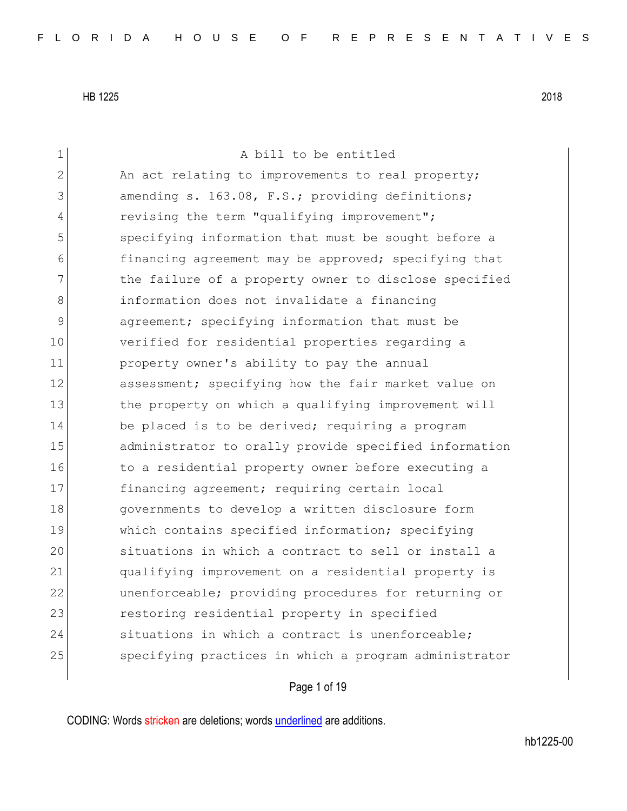| $\mathbf 1$    | A bill to be entitled                                 |
|----------------|-------------------------------------------------------|
| $\overline{2}$ | An act relating to improvements to real property;     |
| 3              | amending s. 163.08, F.S.; providing definitions;      |
| 4              | revising the term "qualifying improvement";           |
| 5              | specifying information that must be sought before a   |
| 6              | financing agreement may be approved; specifying that  |
| 7              | the failure of a property owner to disclose specified |
| 8              | information does not invalidate a financing           |
| 9              | agreement; specifying information that must be        |
| 10             | verified for residential properties regarding a       |
| 11             | property owner's ability to pay the annual            |
| 12             | assessment; specifying how the fair market value on   |
| 13             | the property on which a qualifying improvement will   |
| 14             | be placed is to be derived; requiring a program       |
| 15             | administrator to orally provide specified information |
| 16             | to a residential property owner before executing a    |
| 17             | financing agreement; requiring certain local          |
| 18             | governments to develop a written disclosure form      |
| 19             | which contains specified information; specifying      |
| 20             | situations in which a contract to sell or install a   |
| 21             | qualifying improvement on a residential property is   |
| 22             | unenforceable; providing procedures for returning or  |
| 23             | restoring residential property in specified           |
| 24             | situations in which a contract is unenforceable;      |
| 25             | specifying practices in which a program administrator |
|                |                                                       |

# Page 1 of 19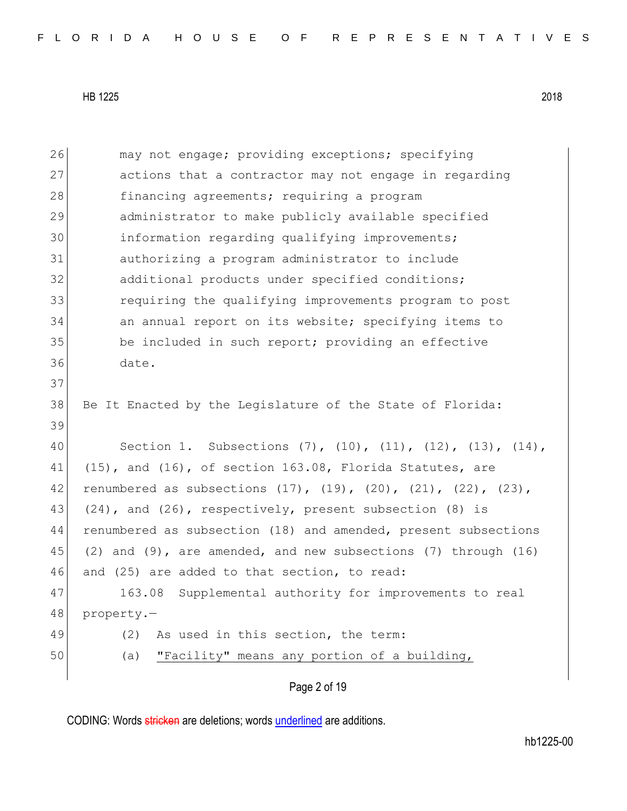| 26 | may not engage; providing exceptions; specifying                                |
|----|---------------------------------------------------------------------------------|
| 27 | actions that a contractor may not engage in regarding                           |
| 28 | financing agreements; requiring a program                                       |
| 29 | administrator to make publicly available specified                              |
| 30 | information regarding qualifying improvements;                                  |
| 31 | authorizing a program administrator to include                                  |
| 32 | additional products under specified conditions;                                 |
| 33 | requiring the qualifying improvements program to post                           |
| 34 | an annual report on its website; specifying items to                            |
| 35 | be included in such report; providing an effective                              |
| 36 | date.                                                                           |
| 37 |                                                                                 |
| 38 | Be It Enacted by the Legislature of the State of Florida:                       |
| 39 |                                                                                 |
| 40 | Section 1. Subsections $(7)$ , $(10)$ , $(11)$ , $(12)$ , $(13)$ , $(14)$ ,     |
| 41 | (15), and (16), of section 163.08, Florida Statutes, are                        |
| 42 | renumbered as subsections $(17)$ , $(19)$ , $(20)$ , $(21)$ , $(22)$ , $(23)$ , |
| 43 | (24), and (26), respectively, present subsection (8) is                         |
| 44 | renumbered as subsection (18) and amended, present subsections                  |
| 45 | (2) and (9), are amended, and new subsections (7) through (16)                  |
| 46 | and (25) are added to that section, to read:                                    |
| 47 | Supplemental authority for improvements to real<br>163.08                       |
| 48 | property.-                                                                      |
| 49 | (2)<br>As used in this section, the term:                                       |
| 50 | "Facility" means any portion of a building,<br>(a)                              |
|    |                                                                                 |

Page 2 of 19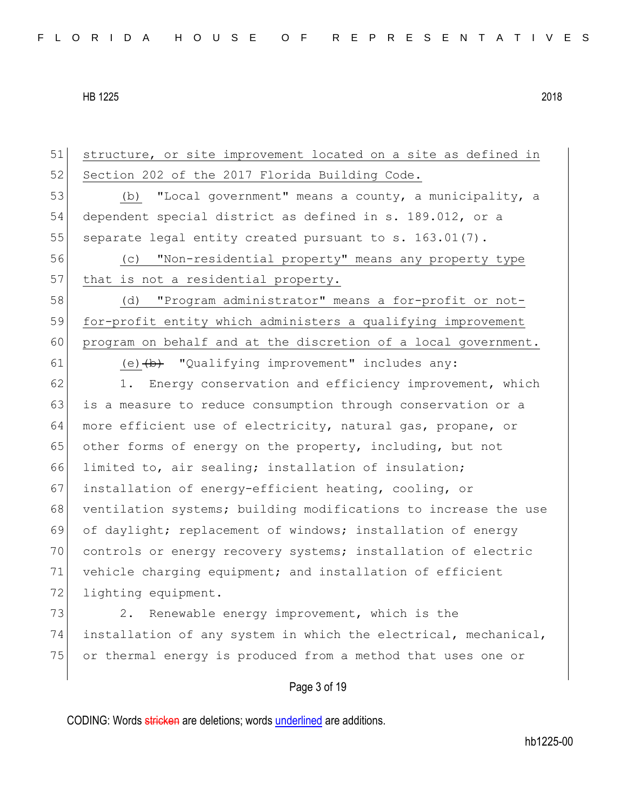51 structure, or site improvement located on a site as defined in 52 Section 202 of the 2017 Florida Building Code. 53 (b) "Local government" means a county, a municipality, a 54 dependent special district as defined in s. 189.012, or a 55 separate legal entity created pursuant to s.  $163.01(7)$ . 56 (c) "Non-residential property" means any property type 57 that is not a residential property. 58 (d) "Program administrator" means a for-profit or not-59 for-profit entity which administers a qualifying improvement 60 program on behalf and at the discretion of a local government. 61 (e)  $\left(\frac{b}{b}\right)$  "Qualifying improvement" includes any: 62 1. Energy conservation and efficiency improvement, which 63 is a measure to reduce consumption through conservation or a 64 more efficient use of electricity, natural gas, propane, or 65 other forms of energy on the property, including, but not 66 limited to, air sealing; installation of insulation; 67 installation of energy-efficient heating, cooling, or 68 ventilation systems; building modifications to increase the use 69 of daylight; replacement of windows; installation of energy 70 controls or energy recovery systems; installation of electric 71 vehicle charging equipment; and installation of efficient 72 lighting equipment. 73 2. Renewable energy improvement, which is the 74 installation of any system in which the electrical, mechanical, 75 or thermal energy is produced from a method that uses one or

## Page 3 of 19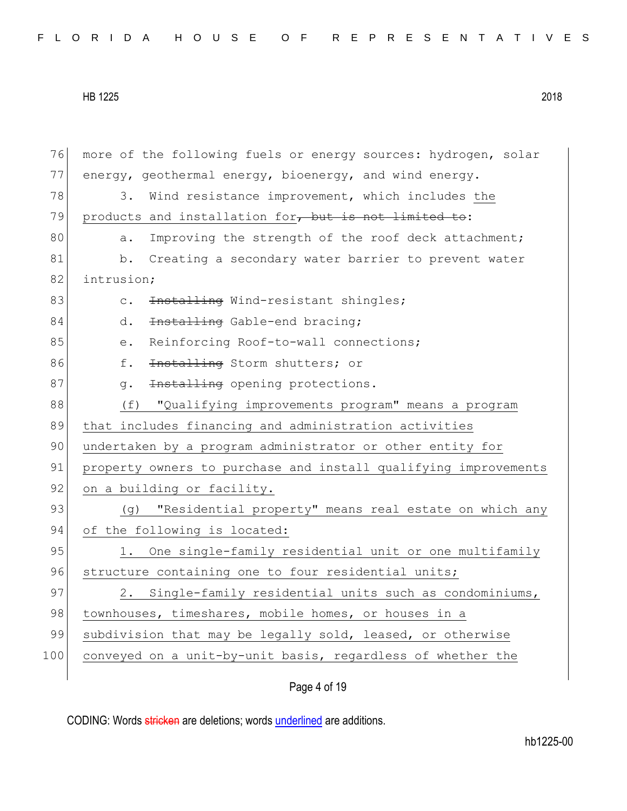| 76  | more of the following fuels or energy sources: hydrogen, solar  |
|-----|-----------------------------------------------------------------|
| 77  | energy, geothermal energy, bioenergy, and wind energy.          |
| 78  | Wind resistance improvement, which includes the<br>3.           |
| 79  | products and installation for, but is not limited to:           |
| 80  | Improving the strength of the roof deck attachment;<br>a.       |
| 81  | Creating a secondary water barrier to prevent water<br>b.       |
| 82  | intrusion;                                                      |
| 83  | Installing Wind-resistant shingles;<br>$\mathsf{C}$ .           |
| 84  | Installing Gable-end bracing;<br>d.                             |
| 85  | Reinforcing Roof-to-wall connections;<br>$\rm e$ .              |
| 86  | f.<br>Installing Storm shutters; or                             |
| 87  | Installing opening protections.<br>q.                           |
| 88  | "Qualifying improvements program" means a program<br>(f)        |
|     | that includes financing and administration activities           |
| 89  |                                                                 |
| 90  | undertaken by a program administrator or other entity for       |
| 91  | property owners to purchase and install qualifying improvements |
| 92  | on a building or facility.                                      |
| 93  | "Residential property" means real estate on which any<br>(g)    |
| 94  | of the following is located:                                    |
| 95  | One single-family residential unit or one multifamily<br>1.     |
| 96  | structure containing one to four residential units;             |
| 97  | Single-family residential units such as condominiums,<br>2.     |
| 98  | townhouses, timeshares, mobile homes, or houses in a            |
| 99  | subdivision that may be legally sold, leased, or otherwise      |
| 100 | conveyed on a unit-by-unit basis, regardless of whether the     |

# Page 4 of 19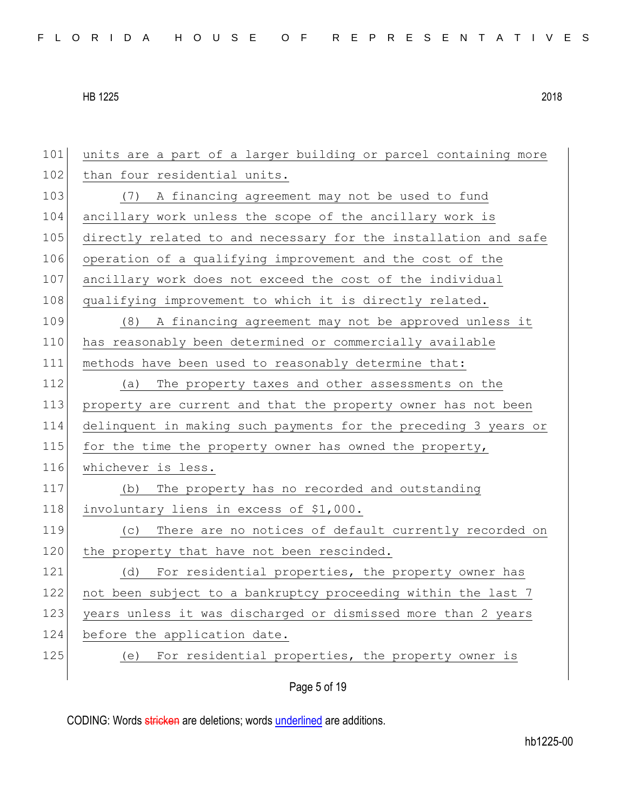| 101 | units are a part of a larger building or parcel containing more |
|-----|-----------------------------------------------------------------|
| 102 | than four residential units.                                    |
| 103 | A financing agreement may not be used to fund<br>(7)            |
| 104 | ancillary work unless the scope of the ancillary work is        |
| 105 | directly related to and necessary for the installation and safe |
| 106 | operation of a qualifying improvement and the cost of the       |
| 107 | ancillary work does not exceed the cost of the individual       |
| 108 | qualifying improvement to which it is directly related.         |
| 109 | (8) A financing agreement may not be approved unless it         |
| 110 | has reasonably been determined or commercially available        |
| 111 | methods have been used to reasonably determine that:            |
| 112 | The property taxes and other assessments on the<br>(a)          |
| 113 | property are current and that the property owner has not been   |
| 114 | delinquent in making such payments for the preceding 3 years or |
| 115 | for the time the property owner has owned the property,         |
| 116 | whichever is less.                                              |
| 117 | The property has no recorded and outstanding<br>(b)             |
| 118 | involuntary liens in excess of \$1,000.                         |
| 119 | There are no notices of default currently recorded on<br>(C)    |
| 120 | the property that have not been rescinded.                      |
| 121 | For residential properties, the property owner has<br>(d)       |
| 122 | not been subject to a bankruptcy proceeding within the last 7   |
| 123 | years unless it was discharged or dismissed more than 2 years   |
| 124 | before the application date.                                    |
| 125 | For residential properties, the property owner is<br>(e)        |
|     |                                                                 |

Page 5 of 19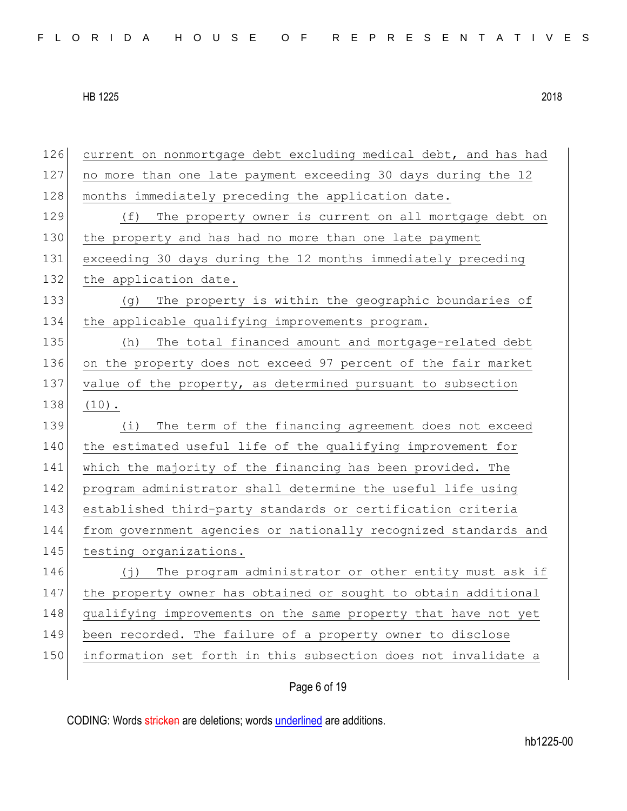| 126 | current on nonmortgage debt excluding medical debt, and has had      |
|-----|----------------------------------------------------------------------|
| 127 | no more than one late payment exceeding 30 days during the 12        |
| 128 | months immediately preceding the application date.                   |
| 129 | The property owner is current on all mortgage debt on<br>(f)         |
| 130 | the property and has had no more than one late payment               |
| 131 | exceeding 30 days during the 12 months immediately preceding         |
| 132 | the application date.                                                |
| 133 | The property is within the geographic boundaries of<br>(q)           |
| 134 | the applicable qualifying improvements program.                      |
| 135 | The total financed amount and mortgage-related debt<br>(h)           |
| 136 | on the property does not exceed 97 percent of the fair market        |
| 137 | value of the property, as determined pursuant to subsection          |
| 138 | $(10)$ .                                                             |
| 139 | The term of the financing agreement does not exceed<br>(i)           |
| 140 | the estimated useful life of the qualifying improvement for          |
| 141 | which the majority of the financing has been provided. The           |
| 142 | program administrator shall determine the useful life using          |
| 143 | established third-party standards or certification criteria          |
| 144 | from government agencies or nationally recognized standards and      |
| 145 | testing organizations.                                               |
| 146 | The program administrator or other entity must ask if<br>$(\dagger)$ |
| 147 | the property owner has obtained or sought to obtain additional       |
| 148 | qualifying improvements on the same property that have not yet       |
| 149 | been recorded. The failure of a property owner to disclose           |
| 150 | information set forth in this subsection does not invalidate a       |
|     |                                                                      |

# Page 6 of 19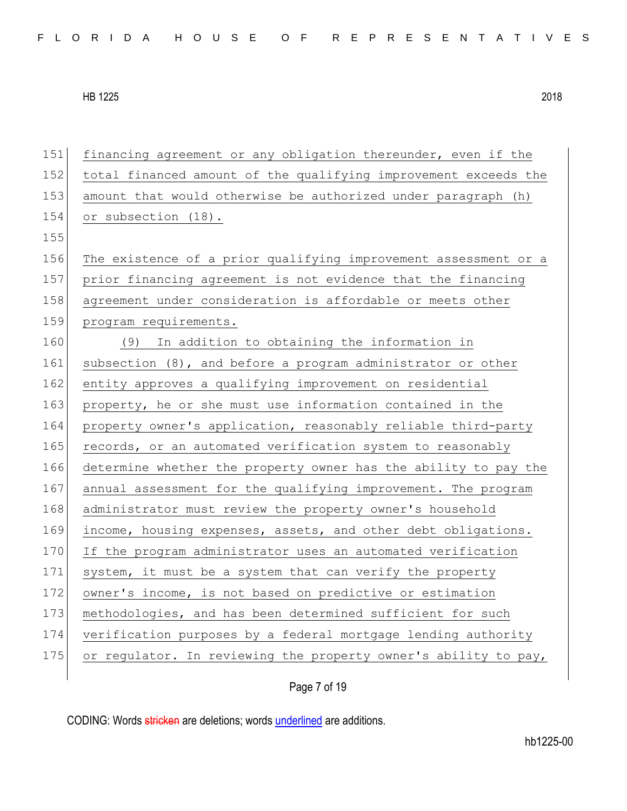financing agreement or any obligation thereunder, even if the total financed amount of the qualifying improvement exceeds the amount that would otherwise be authorized under paragraph (h) 154 or subsection (18). 155 The existence of a prior qualifying improvement assessment or a prior financing agreement is not evidence that the financing agreement under consideration is affordable or meets other 159 program requirements. (9) In addition to obtaining the information in subsection (8), and before a program administrator or other 162 entity approves a qualifying improvement on residential 163 property, he or she must use information contained in the property owner's application, reasonably reliable third-party 165 records, or an automated verification system to reasonably determine whether the property owner has the ability to pay the annual assessment for the qualifying improvement. The program 168 administrator must review the property owner's household 169 income, housing expenses, assets, and other debt obligations. 170 If the program administrator uses an automated verification system, it must be a system that can verify the property owner's income, is not based on predictive or estimation methodologies, and has been determined sufficient for such verification purposes by a federal mortgage lending authority or regulator. In reviewing the property owner's ability to pay,

Page 7 of 19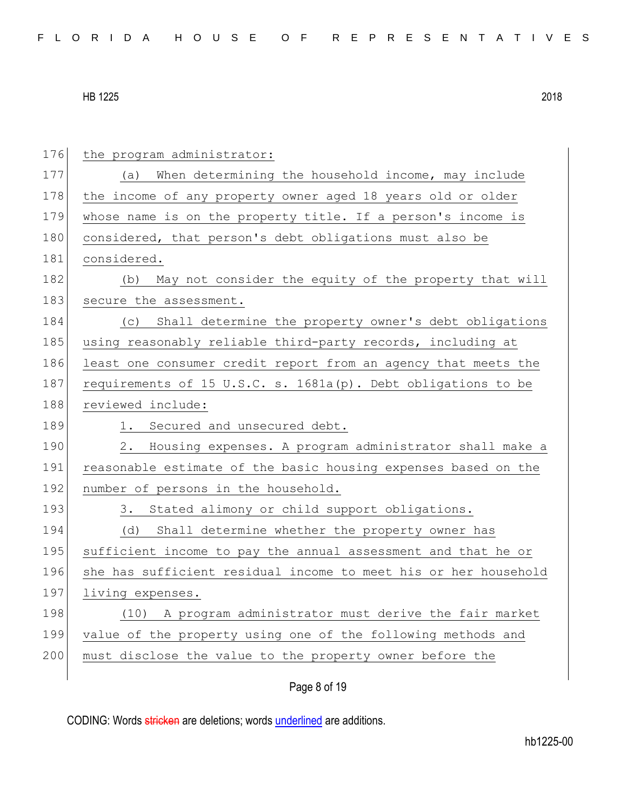176 the program administrator: 177 (a) When determining the household income, may include 178 the income of any property owner aged 18 years old or older 179 whose name is on the property title. If a person's income is 180 considered, that person's debt obligations must also be 181 considered. 182 (b) May not consider the equity of the property that will 183 secure the assessment. 184 (c) Shall determine the property owner's debt obligations 185 using reasonably reliable third-party records, including at 186 least one consumer credit report from an agency that meets the 187 requirements of 15 U.S.C. s. 1681a(p). Debt obligations to be 188 reviewed include: 189 1. Secured and unsecured debt. 190 2. Housing expenses. A program administrator shall make a 191 reasonable estimate of the basic housing expenses based on the 192 number of persons in the household. 193 3. Stated alimony or child support obligations. 194 (d) Shall determine whether the property owner has 195 sufficient income to pay the annual assessment and that he or 196 she has sufficient residual income to meet his or her household 197 living expenses. 198 (10) A program administrator must derive the fair market 199 value of the property using one of the following methods and 200 must disclose the value to the property owner before the

### Page 8 of 19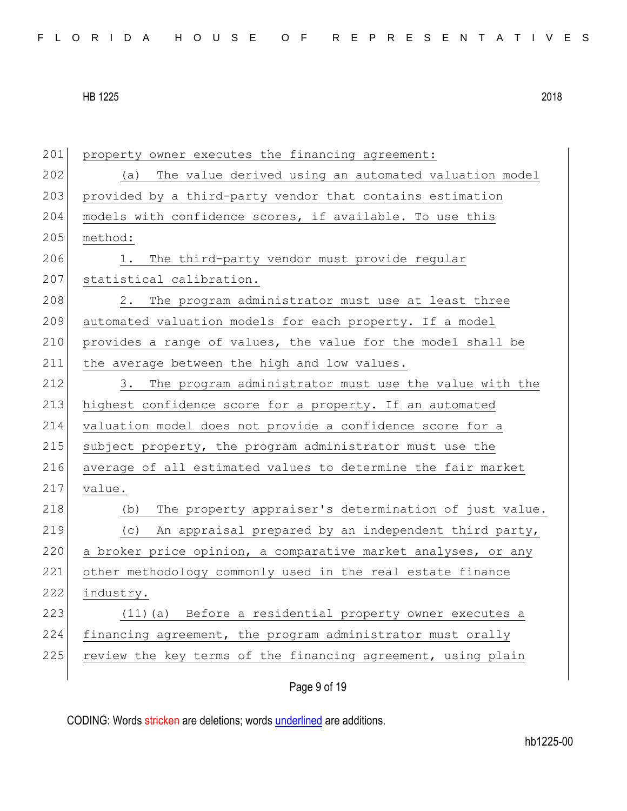| 201 | property owner executes the financing agreement:              |
|-----|---------------------------------------------------------------|
| 202 | The value derived using an automated valuation model<br>(a)   |
| 203 | provided by a third-party vendor that contains estimation     |
| 204 | models with confidence scores, if available. To use this      |
| 205 | method:                                                       |
| 206 | The third-party vendor must provide regular<br>1.             |
| 207 | statistical calibration.                                      |
| 208 | 2. The program administrator must use at least three          |
| 209 | automated valuation models for each property. If a model      |
| 210 | provides a range of values, the value for the model shall be  |
| 211 | the average between the high and low values.                  |
| 212 | 3.<br>The program administrator must use the value with the   |
| 213 | highest confidence score for a property. If an automated      |
| 214 | valuation model does not provide a confidence score for a     |
| 215 | subject property, the program administrator must use the      |
| 216 | average of all estimated values to determine the fair market  |
| 217 | value.                                                        |
| 218 | The property appraiser's determination of just value.<br>(b)  |
| 219 | An appraisal prepared by an independent third party,<br>(C)   |
| 220 | a broker price opinion, a comparative market analyses, or any |
| 221 | other methodology commonly used in the real estate finance    |
| 222 | industry.                                                     |
| 223 | Before a residential property owner executes a<br>$(11)$ (a)  |
| 224 | financing agreement, the program administrator must orally    |
| 225 | review the key terms of the financing agreement, using plain  |
|     |                                                               |

Page 9 of 19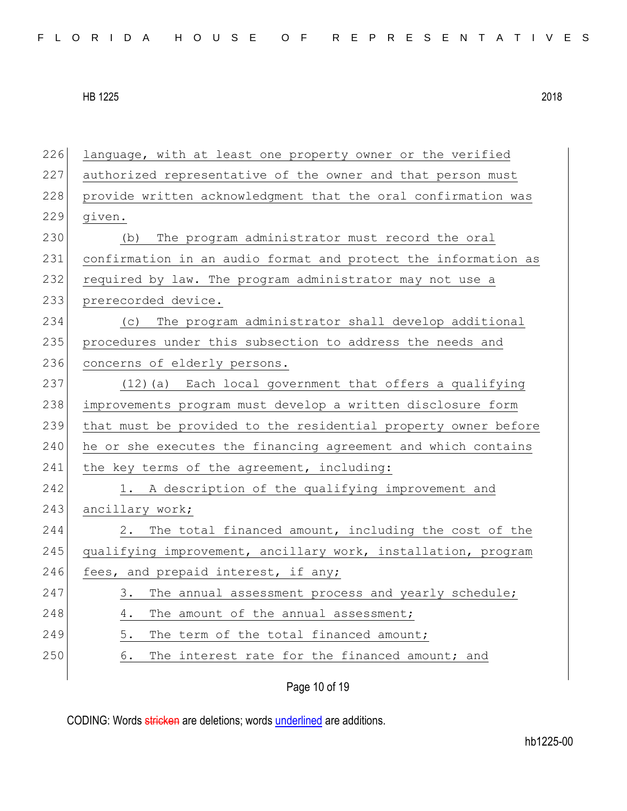| 226 | language, with at least one property owner or the verified     |
|-----|----------------------------------------------------------------|
| 227 | authorized representative of the owner and that person must    |
| 228 | provide written acknowledgment that the oral confirmation was  |
| 229 | given.                                                         |
| 230 | The program administrator must record the oral<br>(b)          |
| 231 | confirmation in an audio format and protect the information as |
| 232 | required by law. The program administrator may not use a       |
| 233 | prerecorded device.                                            |
| 234 | (c) The program administrator shall develop additional         |
| 235 | procedures under this subsection to address the needs and      |
| 236 | concerns of elderly persons.                                   |
| 237 | (12) (a) Each local government that offers a qualifying        |
| 238 | improvements program must develop a written disclosure form    |
| 239 | that must be provided to the residential property owner before |
| 240 | he or she executes the financing agreement and which contains  |
| 241 | the key terms of the agreement, including:                     |
| 242 | 1. A description of the qualifying improvement and             |
| 243 | ancillary work;                                                |
| 244 | 2. The total financed amount, including the cost of the        |
| 245 | qualifying improvement, ancillary work, installation, program  |
| 246 | fees, and prepaid interest, if any;                            |
| 247 | The annual assessment process and yearly schedule;<br>3.       |
| 248 | The amount of the annual assessment;<br>4.                     |
| 249 | 5.<br>The term of the total financed amount;                   |
| 250 | The interest rate for the financed amount; and<br>6.           |
|     | Page 10 of 19                                                  |
|     |                                                                |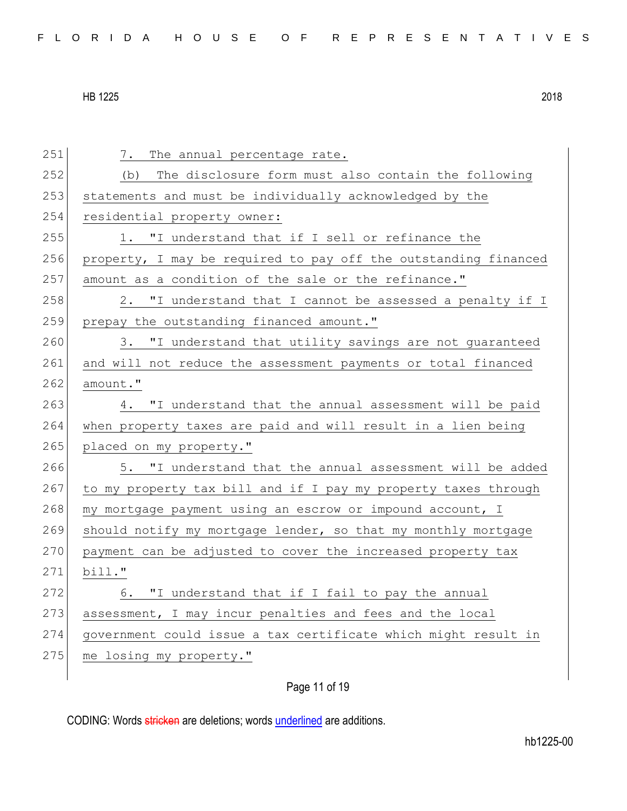| 251 | The annual percentage rate.<br>7.                               |
|-----|-----------------------------------------------------------------|
| 252 | The disclosure form must also contain the following<br>(b)      |
| 253 | statements and must be individually acknowledged by the         |
| 254 | residential property owner:                                     |
| 255 | 1. "I understand that if I sell or refinance the                |
| 256 | property, I may be required to pay off the outstanding financed |
| 257 | amount as a condition of the sale or the refinance."            |
| 258 | 2. "I understand that I cannot be assessed a penalty if I       |
| 259 | prepay the outstanding financed amount."                        |
| 260 | 3. "I understand that utility savings are not guaranteed        |
| 261 | and will not reduce the assessment payments or total financed   |
| 262 | amount."                                                        |
| 263 | 4. "I understand that the annual assessment will be paid        |
| 264 | when property taxes are paid and will result in a lien being    |
| 265 | placed on my property."                                         |
| 266 | 5. "I understand that the annual assessment will be added       |
| 267 | to my property tax bill and if I pay my property taxes through  |
| 268 | my mortgage payment using an escrow or impound account, I       |
| 269 | should notify my mortgage lender, so that my monthly mortgage   |
| 270 | payment can be adjusted to cover the increased property tax     |
| 271 | bill."                                                          |
| 272 | 6. "I understand that if I fail to pay the annual               |
| 273 | assessment, I may incur penalties and fees and the local        |
| 274 | government could issue a tax certificate which might result in  |
| 275 | me losing my property."                                         |
|     |                                                                 |

Page 11 of 19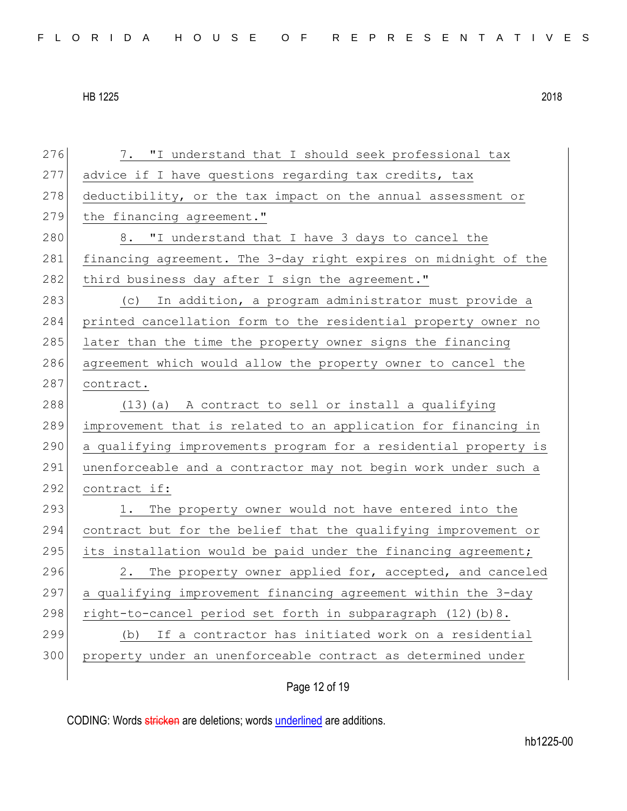| 276 | 7. "I understand that I should seek professional tax            |
|-----|-----------------------------------------------------------------|
| 277 | advice if I have questions regarding tax credits, tax           |
| 278 | deductibility, or the tax impact on the annual assessment or    |
| 279 | the financing agreement."                                       |
| 280 | 8. "I understand that I have 3 days to cancel the               |
| 281 | financing agreement. The 3-day right expires on midnight of the |
| 282 | third business day after I sign the agreement."                 |
| 283 | (c) In addition, a program administrator must provide a         |
| 284 | printed cancellation form to the residential property owner no  |
| 285 | later than the time the property owner signs the financing      |
| 286 | agreement which would allow the property owner to cancel the    |
| 287 | contract.                                                       |
| 288 | (13) (a) A contract to sell or install a qualifying             |
| 289 | improvement that is related to an application for financing in  |
| 290 | a qualifying improvements program for a residential property is |
| 291 | unenforceable and a contractor may not begin work under such a  |
| 292 | contract if:                                                    |
| 293 | The property owner would not have entered into the<br>1.        |
| 294 | contract but for the belief that the qualifying improvement or  |
| 295 | its installation would be paid under the financing agreement;   |
| 296 | The property owner applied for, accepted, and canceled<br>2.    |
| 297 | a qualifying improvement financing agreement within the 3-day   |
| 298 | right-to-cancel period set forth in subparagraph (12) (b) 8.    |
| 299 | If a contractor has initiated work on a residential<br>(b)      |
| 300 | property under an unenforceable contract as determined under    |
|     |                                                                 |

Page 12 of 19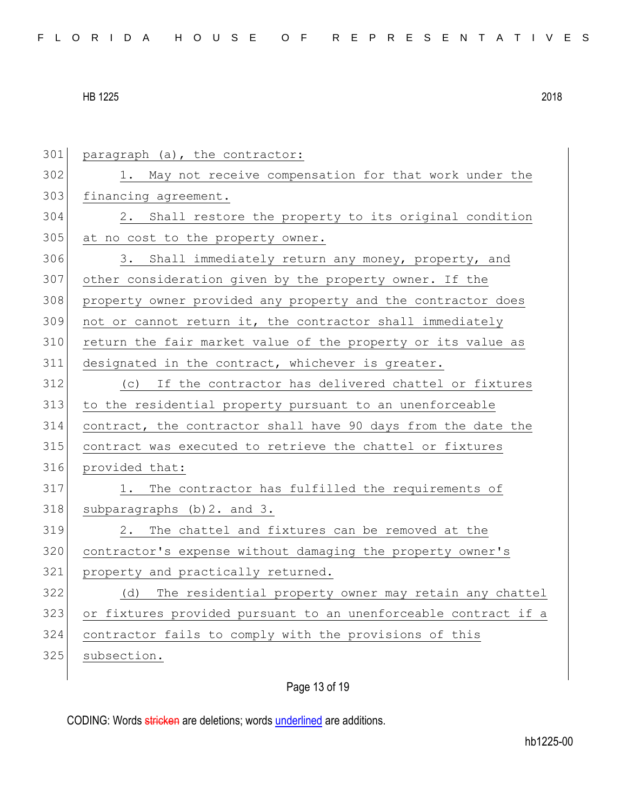301 paragraph (a), the contractor: 1. May not receive compensation for that work under the 303 financing agreement. 2. Shall restore the property to its original condition 305 at no cost to the property owner. 306 3. Shall immediately return any money, property, and other consideration given by the property owner. If the property owner provided any property and the contractor does not or cannot return it, the contractor shall immediately return the fair market value of the property or its value as designated in the contract, whichever is greater. (c) If the contractor has delivered chattel or fixtures to the residential property pursuant to an unenforceable contract, the contractor shall have 90 days from the date the contract was executed to retrieve the chattel or fixtures provided that: 317 1. The contractor has fulfilled the requirements of subparagraphs (b) 2. and 3. 2. The chattel and fixtures can be removed at the 320 contractor's expense without damaging the property owner's 321 property and practically returned. 322 (d) The residential property owner may retain any chattel or fixtures provided pursuant to an unenforceable contract if a contractor fails to comply with the provisions of this 325 subsection.

## Page 13 of 19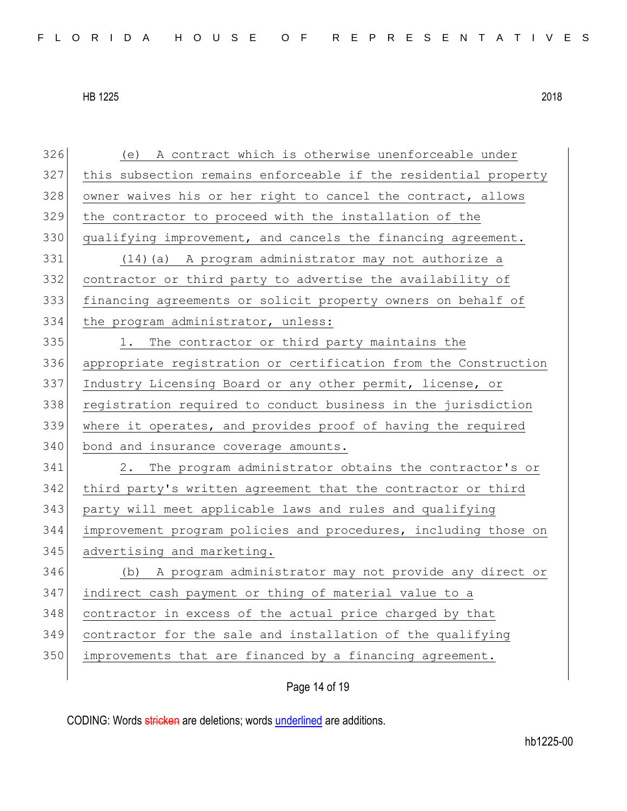| 326 | (e) A contract which is otherwise unenforceable under           |
|-----|-----------------------------------------------------------------|
| 327 | this subsection remains enforceable if the residential property |
| 328 | owner waives his or her right to cancel the contract, allows    |
| 329 | the contractor to proceed with the installation of the          |
| 330 | qualifying improvement, and cancels the financing agreement.    |
| 331 | (14) (a) A program administrator may not authorize a            |
| 332 | contractor or third party to advertise the availability of      |
| 333 | financing agreements or solicit property owners on behalf of    |
| 334 | the program administrator, unless:                              |
| 335 | The contractor or third party maintains the<br>1.               |
| 336 | appropriate registration or certification from the Construction |
| 337 | Industry Licensing Board or any other permit, license, or       |
| 338 | registration required to conduct business in the jurisdiction   |
| 339 | where it operates, and provides proof of having the required    |
| 340 | bond and insurance coverage amounts.                            |
| 341 | 2.<br>The program administrator obtains the contractor's or     |
| 342 | third party's written agreement that the contractor or third    |
| 343 | party will meet applicable laws and rules and qualifying        |
| 344 | improvement program policies and procedures, including those on |
| 345 | advertising and marketing.                                      |
| 346 | (b) A program administrator may not provide any direct or       |
| 347 | indirect cash payment or thing of material value to a           |
| 348 | contractor in excess of the actual price charged by that        |
| 349 | contractor for the sale and installation of the qualifying      |
| 350 |                                                                 |
|     | improvements that are financed by a financing agreement.        |

Page 14 of 19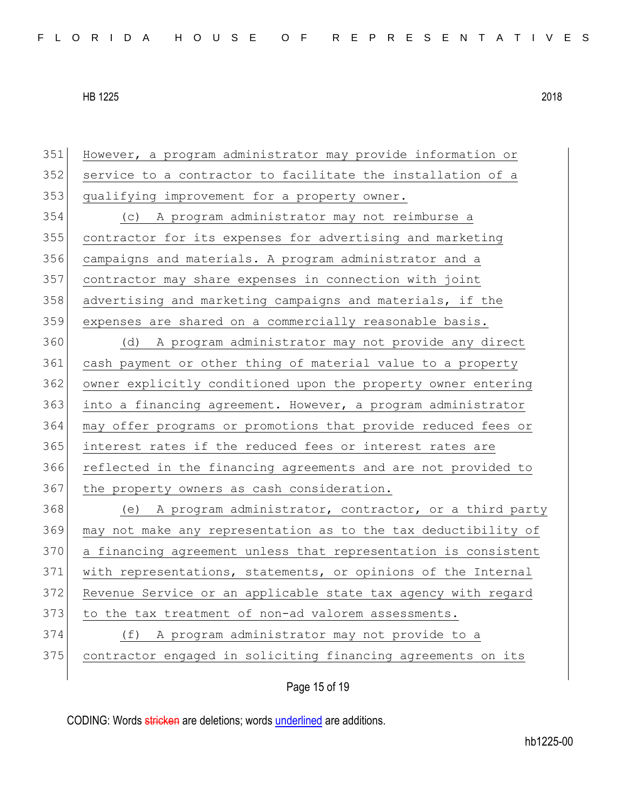| 351 | However, a program administrator may provide information or    |
|-----|----------------------------------------------------------------|
| 352 | service to a contractor to facilitate the installation of a    |
| 353 | qualifying improvement for a property owner.                   |
| 354 | (c) A program administrator may not reimburse a                |
| 355 | contractor for its expenses for advertising and marketing      |
| 356 | campaigns and materials. A program administrator and a         |
| 357 | contractor may share expenses in connection with joint         |
| 358 | advertising and marketing campaigns and materials, if the      |
| 359 | expenses are shared on a commercially reasonable basis.        |
| 360 | (d) A program administrator may not provide any direct         |
| 361 | cash payment or other thing of material value to a property    |
| 362 | owner explicitly conditioned upon the property owner entering  |
| 363 | into a financing agreement. However, a program administrator   |
| 364 | may offer programs or promotions that provide reduced fees or  |
| 365 | interest rates if the reduced fees or interest rates are       |
| 366 | reflected in the financing agreements and are not provided to  |
| 367 | the property owners as cash consideration.                     |
| 368 | (e) A program administrator, contractor, or a third party      |
| 369 | may not make any representation as to the tax deductibility of |
| 370 | a financing agreement unless that representation is consistent |
| 371 | with representations, statements, or opinions of the Internal  |
| 372 | Revenue Service or an applicable state tax agency with regard  |
| 373 | to the tax treatment of non-ad valorem assessments.            |
| 374 | A program administrator may not provide to a<br>(f)            |
| 375 | contractor engaged in soliciting financing agreements on its   |
|     |                                                                |

Page 15 of 19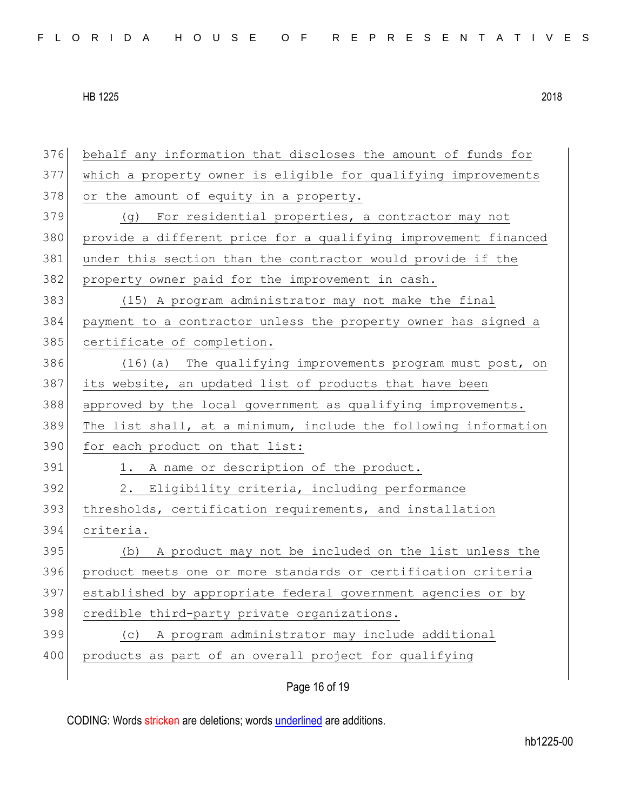behalf any information that discloses the amount of funds for which a property owner is eligible for qualifying improvements 378 or the amount of equity in a property. (g) For residential properties, a contractor may not provide a different price for a qualifying improvement financed 381 under this section than the contractor would provide if the property owner paid for the improvement in cash. (15) A program administrator may not make the final payment to a contractor unless the property owner has signed a 385 certificate of completion. 386 (16)(a) The qualifying improvements program must post, on its website, an updated list of products that have been approved by the local government as qualifying improvements. The list shall, at a minimum, include the following information 390 for each product on that list: 391 1. A name or description of the product. 2. Eligibility criteria, including performance 393 thresholds, certification requirements, and installation criteria. (b) A product may not be included on the list unless the product meets one or more standards or certification criteria established by appropriate federal government agencies or by 398 credible third-party private organizations. (c) A program administrator may include additional 400 products as part of an overall project for qualifying

Page 16 of 19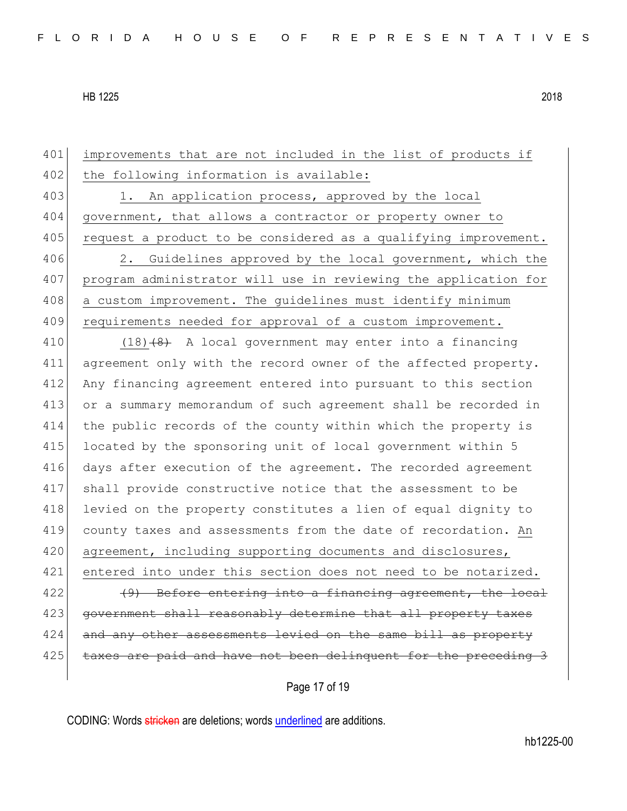401 improvements that are not included in the list of products if 402 the following information is available: 403 1. An application process, approved by the local 404 government, that allows a contractor or property owner to 405 request a product to be considered as a qualifying improvement. 406 2. Guidelines approved by the local government, which the 407 program administrator will use in reviewing the application for 408 a custom improvement. The quidelines must identify minimum 409 requirements needed for approval of a custom improvement. 410  $(18)$   $(8)$  A local government may enter into a financing 411 agreement only with the record owner of the affected property. 412 Any financing agreement entered into pursuant to this section 413 or a summary memorandum of such agreement shall be recorded in 414 the public records of the county within which the property is 415 located by the sponsoring unit of local government within 5 416 days after execution of the agreement. The recorded agreement 417 shall provide constructive notice that the assessment to be 418 levied on the property constitutes a lien of equal dignity to 419 county taxes and assessments from the date of recordation. An 420 agreement, including supporting documents and disclosures, 421 entered into under this section does not need to be notarized.  $422$  (49) Before entering into a financing agreement, the local 423 government shall reasonably determine that all property taxes 424 and any other assessments levied on the same bill as property 425 taxes are paid and have not been delinquent for the preceding 3

Page 17 of 19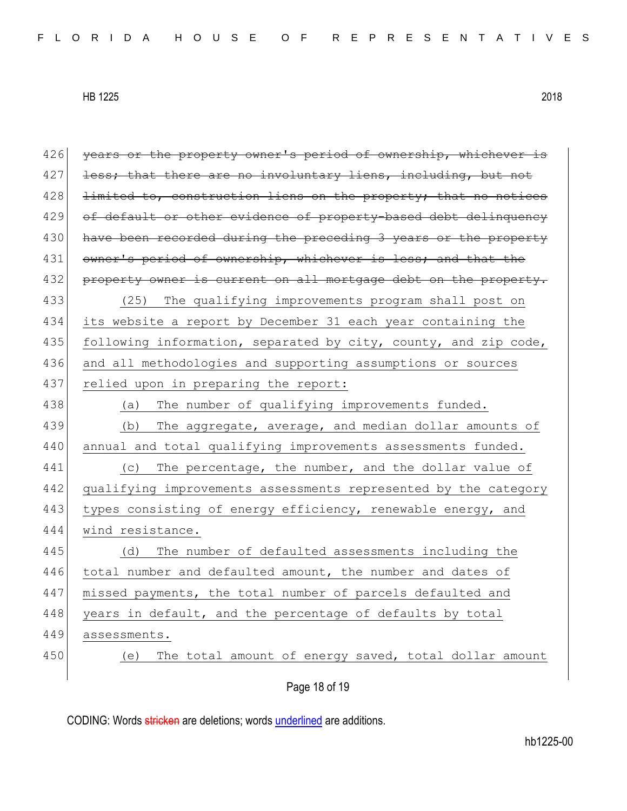| 426 | years or the property owner's period of ownership, whichever is |
|-----|-----------------------------------------------------------------|
| 427 | less; that there are no involuntary liens, including, but not   |
| 428 | limited to, construction liens on the property; that no notices |
| 429 | of default or other evidence of property-based debt delinquency |
| 430 | have been recorded during the preceding 3 years or the property |
| 431 | owner's period of ownership, whichever is less; and that the    |
| 432 | property owner is current on all mortgage debt on the property. |
| 433 | (25) The qualifying improvements program shall post on          |
| 434 | its website a report by December 31 each year containing the    |
| 435 | following information, separated by city, county, and zip code, |
| 436 | and all methodologies and supporting assumptions or sources     |
| 437 | relied upon in preparing the report:                            |
| 438 | The number of qualifying improvements funded.<br>(a)            |
| 439 | The aggregate, average, and median dollar amounts of<br>(b)     |
| 440 | annual and total qualifying improvements assessments funded.    |
| 441 | The percentage, the number, and the dollar value of<br>(C)      |
| 442 | qualifying improvements assessments represented by the category |
| 443 | types consisting of energy efficiency, renewable energy, and    |
| 444 | wind resistance.                                                |
| 445 | The number of defaulted assessments including the<br>(d)        |
| 446 | total number and defaulted amount, the number and dates of      |
| 447 | missed payments, the total number of parcels defaulted and      |
| 448 | years in default, and the percentage of defaults by total       |
| 449 | assessments.                                                    |
| 450 | The total amount of energy saved, total dollar amount<br>(e)    |
|     |                                                                 |
|     | Page 18 of 19                                                   |